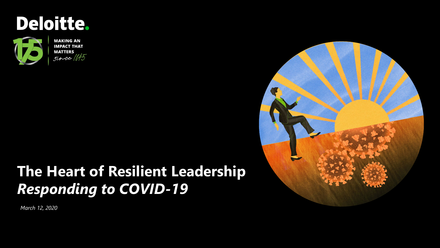



**MAKING AN IMPACT THAT MATTERS**  $since 1845$ 

## **The Heart of Resilient Leadership**  *Responding to COVID-19*

*March 12, 2020*

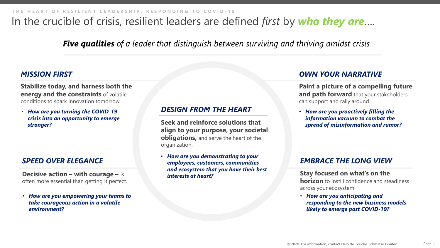## In the crucible of crisis, resilient leaders are defined *first* by *who they are*….

*Five qualities of a leader that distinguish between surviving and thriving amidst crisis* 

#### *MISSION FIRST*

**Stabilize today, and harness both the energy and the constraints** of volatile conditions to spark innovation tomorrow.

• *How are you turning the COVID-19 crisis into an opportunity to emerge stronger?*

#### *SPEED OVER ELEGANCE*

**Decisive action – with courage –** is often more essential than getting it perfect.

• *How are you empowering your teams to take courageous action in a volatile environment?*

#### *DESIGN FROM THE HEART*

**Seek and reinforce solutions that align to your purpose, your societal obligations, and serve the heart of the** organization.

• *How are you demonstrating to your employees, customers, communities and ecosystem that you have their best interests at heart?*

#### *OWN YOUR NARRATIVE*

**Paint a picture of a compelling future and path forward** that your stakeholders can support and rally around

• *How are you proactively filling the information vacuum to combat the spread of misinformation and rumor?* 

#### *EMBRACE THE LONG VIEW*

**Stay focused on what's on the horizon** to instill confidence and steadiness across your ecosystem

• *How are you anticipating and responding to the new business models likely to emerge post COVID-19?*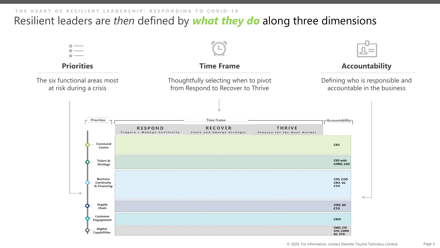## Resilient leaders are *then* defined by *what they do* along three dimensions

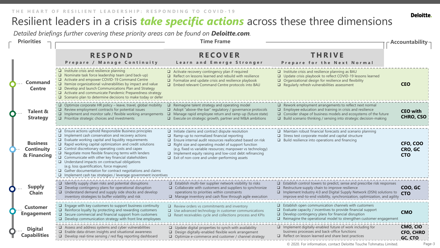## Resilient leaders in a crisis *take specific actions* across these three dimensions

*Detailed briefings further covering these priority areas can be found on Deloitte.com.*

| <b>Priorities</b>                                   |                                                                                                                                                                                                                                                                                                                                                                                                                                                                                                                                                                                                                                                                                                | <b>Time Frame</b>                                                                                                                                                                                                                                                                                                                                                                                                                 |                                                                                                                                                                                                                                                                                                           | Accountability                          |  |
|-----------------------------------------------------|------------------------------------------------------------------------------------------------------------------------------------------------------------------------------------------------------------------------------------------------------------------------------------------------------------------------------------------------------------------------------------------------------------------------------------------------------------------------------------------------------------------------------------------------------------------------------------------------------------------------------------------------------------------------------------------------|-----------------------------------------------------------------------------------------------------------------------------------------------------------------------------------------------------------------------------------------------------------------------------------------------------------------------------------------------------------------------------------------------------------------------------------|-----------------------------------------------------------------------------------------------------------------------------------------------------------------------------------------------------------------------------------------------------------------------------------------------------------|-----------------------------------------|--|
|                                                     | <b>RESPOND</b><br>Prepare / Manage Continuity                                                                                                                                                                                                                                                                                                                                                                                                                                                                                                                                                                                                                                                  | <b>RECOVER</b><br>Learn and Emerge Stronger                                                                                                                                                                                                                                                                                                                                                                                       | <b>THRIVE</b><br>Prepare for the Next Normal                                                                                                                                                                                                                                                              |                                         |  |
| <b>Command</b><br><b>Centre</b>                     | $\Box$ Institute crisis and resilience planning<br>$\Box$ Nominate task force leadership team (and back-up)<br>Activate and empower COVID-19 Command Centre<br>$\Box$ Itemize organizational vulnerabilities by impact and value<br>$\Box$ Develop and launch Communications Plan and Strategy<br>Activate and communicate Pandemic Preparedness strategy<br>$\Box$ Scenario plan to determine decisions to make today or defer                                                                                                                                                                                                                                                                | $\Box$ Activate recovery contingency plan if required<br>$\Box$ Reflect on lessons learned and rebuild with resilience<br>$\Box$ Formalize and update crisis and resilience playbook<br>□ Embed relevant Command Centre protocols into BAU                                                                                                                                                                                        | $\Box$ Institute crisis and resilience planning as BAU<br>□ Update crisis playbook to reflect COVID-19 lessons learned<br>$\Box$ Organizational design for resilience and flexibility<br>$\Box$ Regularly refresh vulnerabilities assessment                                                              | <b>CEO</b>                              |  |
| <b>Talent &amp;</b><br><b>Strategy</b>              | $\Box$ Optimize corporate HR policy – leave, travel, global mobility<br>$\Box$ Review employment contracts for potential issues<br>$\Box$ Implement and monitor safe / flexible working arrangements<br>$\Box$ Prioritize strategic choices and investments                                                                                                                                                                                                                                                                                                                                                                                                                                    | $\Box$ Reimagine talent strategy and operating model<br>$\Box$ Adopt "above-the-bar" regulatory / governance protocols<br>$\Box$<br>Manage rapid employee return and ramp-up (future state)<br>$\Box$ Execute on strategic growth, partner and M&A ambitions                                                                                                                                                                      | $\Box$ Rework employment arrangements to reflect next normal<br>$\Box$ Employee education and training in crisis and resilience<br>$\Box$ Consider shape of business models and ecosystems of the future<br>$\Box$ Build scenario thinking / sensing into strategic decision-making                       | <b>CEO</b> with<br><b>CHRO, CSO</b>     |  |
| <b>Business</b><br><b>Continuity</b><br>& Financing | $\Box$ Ensure actions uphold Responsible Business principles<br>$\Box$ Implement cash conservation and recovery actions<br>$\Box$ Evaluate working capital and liquidity requirements<br>$\Box$ Rapid working capital optimization and credit solutions<br>$\Box$ Control discretionary operating costs and capex<br>$\Box$ Negotiate more flexible financing terms with lenders<br>$\Box$ Communicate with other key financial stakeholders<br>$\Box$ Understand impacts on contractual obligations<br>(e.g. loss quantification, force majeure)<br>$\Box$ Gather documentation for contract negotiations and claims<br>$\Box$ Implement cash tax strategies / leverage government incentives | $\Box$ Initiate claims and contract dispute resolution<br>$\Box$ Ramp-up to normalized financial reporting<br>$\Box$ Ensure internal audit resources reallocated based on risk<br>$\Box$ Right size and operating model of support function<br>(e.g. fixed vs variable resources; manpower vs technology)<br>$\Box$ Implement equity raising and low-cost debt refinancing<br>$\Box$ Exit of non-core and under-performing assets | $\Box$ Maintain robust financial forecasts and scenario planning<br>$\Box$<br>Stress test corporate model and capital structure<br>$\Box$ Build resilience into operations and financing                                                                                                                  | CFO, COO<br>CRO, GC<br><b>CTO</b>       |  |
| <b>Supply</b><br><b>Chain</b>                       | $\Box$ Identify supply chain risks and potential disruptions<br>$\Box$ Develop contingency plans for operational disruption<br>$\Box$ Understand demand and supply side shocks and develop<br>inventory strategies to buffer volatility and risk                                                                                                                                                                                                                                                                                                                                                                                                                                               | $\Box$ Establish multi-tier supplier network visibility to risks<br>$\Box$ Collaborate with customers and suppliers to synchronize<br>operations to priorities within constraints<br>$\Box$ Manage inventory and cash flow through agile execution                                                                                                                                                                                | $\square$ Establish control towers to predict, sense and prescribe risk responses<br>Restructure supply chain to improve resilience<br>$\Box$<br>$\Box$ Implement Industry 4.0 and Digital Supply Network (DSN) solutions to<br>improve end-to-end visibility, synchronization, optimization, and agility | COO, GC<br><b>CTO</b>                   |  |
| <b>Customer</b><br><b>Engagement</b>                | $\Box$ Engage with key customers to support business continuity<br>$\Box$ Reinforce loyalty by protecting and rewarding customers<br>$\Box$ Secure commercial and financial support from customers<br>$\Box$ Develop communication strategy with front line employees                                                                                                                                                                                                                                                                                                                                                                                                                          | $\Box$ Review orders vs commitments and inventory<br>$\Box$ Use advanced technology in customer communications<br>$\Box$ Reset receivables cycle and collections process and KPIs                                                                                                                                                                                                                                                 | $\Box$ Establish open communication channels with customers<br>Evaluate capacity / incentives to provide financial support<br>□<br>$\Box$ Develop contingency plans for financial disruption<br>$\Box$ Reimagine the operational model to strengthen customer engagement                                  | <b>CMO</b>                              |  |
| <b>Digital</b><br><b>Capabilities</b>               | $\Box$ Assess and address systems and cyber vulnerabilities<br>$\Box$ Enable data-driven insights and situational awareness<br>$\Box$ Develop real-time sensing / red flag reporting dashboard                                                                                                                                                                                                                                                                                                                                                                                                                                                                                                 | $\Box$ Update digital properties to synch with availability<br>Design digitally-enabled flexible work arrangement<br>□ Optimize e-commerce and customer / channel strategy                                                                                                                                                                                                                                                        | $\Box$ Implement digitally-enabled future of work including for<br>business processes and back-office functions<br>$\Box$ Reflect on lesson learned and share best practices                                                                                                                              | CMO, CIO<br><b>CFO, CHRO</b><br>GC, CTO |  |

Page-3

Deloitte.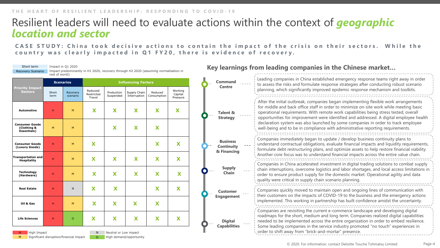### Resilient leaders will need to evaluate actions within the context of *geographic location and sector*

**CASE STUDY: China took decisive actions to contain the impact of the crisis on their sectors. While the country was clearly impacted in Q1 FY20, there is evidence of recovery.**

| Short term<br>Recovery Scenario                                                                                                                                                     | rest of world)   | Impact in Q1 2020    |                                  |                         | Impact predominantly in H1 2020, recovery through H2 2020 (assuming normalisation in |                              |                                |  |                                                     | Key learnings from leading companies in the Chinese market                                                                                                                                                                                                                                                                                                          |  |
|-------------------------------------------------------------------------------------------------------------------------------------------------------------------------------------|------------------|----------------------|----------------------------------|-------------------------|--------------------------------------------------------------------------------------|------------------------------|--------------------------------|--|-----------------------------------------------------|---------------------------------------------------------------------------------------------------------------------------------------------------------------------------------------------------------------------------------------------------------------------------------------------------------------------------------------------------------------------|--|
| <b>Priority Impact</b>                                                                                                                                                              | <b>Scenarios</b> |                      | <b>Influencing Factors</b>       |                         |                                                                                      |                              |                                |  | <b>Command</b><br><b>Centre</b>                     | Leading companies in China established emergency response teams right away in order<br>to assess the risks and formulate response strategies after conducting robust scenario                                                                                                                                                                                       |  |
| <b>Sectors</b>                                                                                                                                                                      | Short<br>term    | Recovery<br>scenario | Reduced/<br>Restricted<br>Travel | Production<br>Suspended | Supply Chain<br>Interruption                                                         | Reduced<br>Consumption       | Working<br>Capital<br>Pressure |  |                                                     | planning, which significantly improved epidemic response mechanism and toolkits.                                                                                                                                                                                                                                                                                    |  |
| Automotive                                                                                                                                                                          | H                | M                    | X                                | X                       | X                                                                                    | X                            | X                              |  | Talent &<br><b>Strategy</b>                         | After the initial outbreak, companies began implementing flexible work arrangements<br>for middle and back office staff in order to minimize on-site work while meeting basic<br>operational requirements. With remote work capabilities being stress tested, overall<br>opportunities for improvement were identified and addressed. A digital employee health     |  |
| <b>Consumer Goods</b><br>(Clothing &<br><b>Essentials</b> )                                                                                                                         | M                | M                    |                                  | X                       | X                                                                                    | $\overline{\textbf{X}}$      |                                |  |                                                     | declaration system was also launched by some companies in order to track employee<br>well-being and to be in compliance with administrative reporting requirements.                                                                                                                                                                                                 |  |
| <b>Consumer Goods</b><br>(Luxury Goods)<br><b>Transportation and</b>                                                                                                                | H                | M                    | X                                |                         |                                                                                      | $\overline{\mathbf{x}}$      | X                              |  | <b>Business</b><br><b>Continuity</b><br>& Financing | Companies immediately began to update / develop business continuity plans to<br>understand contractual obligations, evaluate financial impacts and liquidity requirements,<br>formulate debt restructuring plans, and optimize assets to help restore financial viability.<br>Another core focus was to understand financial impacts across the entire value chain. |  |
| <b>Hospitality</b><br>Technology<br>(Hardware)                                                                                                                                      | H<br>H           | M<br>M               | X<br>X                           | X<br>X                  | X<br>X                                                                               | X<br>$\overline{\textbf{X}}$ | X<br>$\overline{\mathbf{X}}$   |  | <b>Supply</b><br><b>Chain</b>                       | Companies in China accelerated investment in digital trading solutions to combat supply<br>chain interruptions, overcome logistics and labor shortages, and local access limitations in<br>order to ensure product supply for the domestic market. Operational agility and data<br>quality were critical in supply chain scenario planning.                         |  |
| <b>Real Estate</b>                                                                                                                                                                  | H                | N                    | X                                | X                       |                                                                                      | X                            | X                              |  | <b>Customer</b><br><b>Engagement</b>                | Companies quickly moved to maintain open and ongoing lines of communication with<br>their customers on the impacts of COVID-19 to the business and the emergency actions<br>implemented. This working in partnership has built confidence amidst the uncertainty.                                                                                                   |  |
| Oil & Gas<br><b>Life Sciences</b>                                                                                                                                                   | H<br>H           | M<br>$\Omega$        | X<br>X                           | X<br>X                  | X<br>X                                                                               | X<br>X                       | X                              |  | <b>Digital</b><br><b>Capabilities</b>               | Companies are revisiting the current e-commerce landscape and developing digital<br>roadmaps for the short, medium and long term. Companies realized digital capabilities<br>needed to be implemented across the entire organization in order to embed resilience.<br>Some leading companies in the service industry promoted "no touch" experiences in             |  |
| order to shift away from "brick-and-mortar" presence.<br>High Impact<br>Neutral or Low impact<br>M<br>Significant disruption/financial impact<br>High demand/opportunity<br>$\circ$ |                  |                      |                                  |                         |                                                                                      |                              |                                |  |                                                     |                                                                                                                                                                                                                                                                                                                                                                     |  |

© 2020. For information, contact Deloitte Touche Tohmatsu Limited. Page-4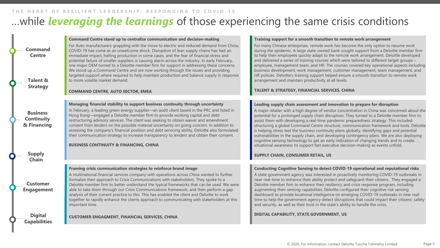#### …while *leveraging the learnings* of those experiencing the same crisis conditions **THE HEART OF RESILIENT LEADERSHIP: RESPONDING TO COVID - 1 9**

| <b>Command</b><br><b>Centre</b><br><b>Talent &amp;</b> | Command Centre stand up to centralize communication and decision-making<br>For Auto manufacturers grappling with the move to electric and reduced demand from China,<br>COVID-19 has come as an unwelcome shock. Disruption of lean supply chains has had an<br>immediate impact, halting production in some cases, and the fear of financial stress and<br>potential failure of smaller suppliers is causing alarm across the industry. In early February,<br>one major OEM turned to a Deloitte member firm for support in addressing these concerns.<br>We stood up a Command Centre and are now working through the issues and providing<br>targeted support where required to help maintain production and balance supply in response<br>to more volatile market demand. | Training support for a smooth transition to remote work arrangement<br>For many Chinese enterprises, remote work has become the only option to resume work<br>during the epidemic. A large state-owned bank sought support from a Deloitte member firm<br>to help their employees quickly adapt to the remote work arrangement. Deloitte developed<br>and delivered a series of training courses which were tailored to different target groups -<br>employee, management team, and HR. The courses covered key operational aspects including<br>business development, work management, customer management, team management, and<br>HR policies. Deloitte's training support helped ensure a smooth transition to remote work<br>arrangement and maintain productivity at all levels.                                                           |
|--------------------------------------------------------|-------------------------------------------------------------------------------------------------------------------------------------------------------------------------------------------------------------------------------------------------------------------------------------------------------------------------------------------------------------------------------------------------------------------------------------------------------------------------------------------------------------------------------------------------------------------------------------------------------------------------------------------------------------------------------------------------------------------------------------------------------------------------------|--------------------------------------------------------------------------------------------------------------------------------------------------------------------------------------------------------------------------------------------------------------------------------------------------------------------------------------------------------------------------------------------------------------------------------------------------------------------------------------------------------------------------------------------------------------------------------------------------------------------------------------------------------------------------------------------------------------------------------------------------------------------------------------------------------------------------------------------------|
| <b>Strategy</b>                                        | <b>COMMAND CENTRE, AUTO SECTOR, EMEA</b>                                                                                                                                                                                                                                                                                                                                                                                                                                                                                                                                                                                                                                                                                                                                      | <b>TALENT &amp; STRATEGY, FINANCIAL SERVICES, CHINA</b>                                                                                                                                                                                                                                                                                                                                                                                                                                                                                                                                                                                                                                                                                                                                                                                          |
| <b>Business</b><br><b>Continuity</b><br>& Financing    | Managing financial stability to support business continuity through uncertainty<br>In February, a leading green energy supplier—an audit client based in the PRC and listed in<br>Hong Kong—engaged a Deloitte member firm to provide working capital and debt<br>restructuring advisory services. The client was seeking to obtain waiver and amendment<br>consent from lenders on the possible material uncertainty on going concern. In addition to<br>assessing the company's financial position and debt servicing ability, Deloitte also formulated<br>their communication strategy to increase transparency to lenders and obtain their consent.<br><b>BUSINESS CONTINUITY &amp; FINANCING, CHINA</b>                                                                  | Leading supply chain assessment and innovation to prepare for disruption<br>A major retailer with a high degree of vendor concentration in China was concerned about the<br>potential for a prolonged supply chain disruption. They turned to a Deloitte member firm to<br>assist them with developing a real-time pandemic preparedness strategy. This included<br>structuring a global Command Centre structure, communication framework and tools. Deloitte<br>is helping stress test the business continuity plans globally, identifying gaps and potential<br>vulnerabilities in the supply chain, and developing contingency plans. We are also deploying<br>cognitive sensing technology to get an early indication of changing trends and to create<br>situational awareness to support fast executive decision-making as events unfold. |
| <b>Supply</b><br><b>Chain</b>                          |                                                                                                                                                                                                                                                                                                                                                                                                                                                                                                                                                                                                                                                                                                                                                                               | SUPPLY CHAIN, CONSUMER RETAIL, US                                                                                                                                                                                                                                                                                                                                                                                                                                                                                                                                                                                                                                                                                                                                                                                                                |
| <b>Customer</b><br><b>Engagement</b>                   | Framing crisis communication strategies to reinforce brand image<br>A multinational financial services company with operations across China wanted to further<br>formalize their approach to Crisis Communications with stakeholders. They spoke to a<br>Deloitte member firm to better understand the typical frameworks that can be used. We were<br>able to take them through our Crisis Communications framework, and then perform a gap<br>analysis of their current practice to this. This has enabled the client and Deloitte to work<br>together to rapidly enhance the clients approach to communicating with stakeholders at this<br>important time.                                                                                                                | Conducting Cognitive Sensing to detect COVID-19 operational and reputational risks<br>A state government agency was interested in proactively monitoring COVID-19 outbreaks in<br>near real-time to enhance their ability protect and safeguard their citizens. They engaged a<br>Deloitte member firm to enhance their resiliency and crisis response program, including<br>augmenting their sensing capabilities. Deloitte configured their cognitive risk sensing<br>dashboard to provide locational intelligence on emerging COVID-19 outbreaks in near real-<br>time to help the government agency detect disruptions that could impact their citizens' safety<br>and security, as well as their trust in the state's ability to handle the crisis.                                                                                         |
| <b>Digital</b><br>Capabilities                         | <b>CUSTOMER ENGAGMENT, FINANCIAL SERVICES, CHINA</b>                                                                                                                                                                                                                                                                                                                                                                                                                                                                                                                                                                                                                                                                                                                          | DIGITAL CAPABILITY, STATE GOVERNMENT, US                                                                                                                                                                                                                                                                                                                                                                                                                                                                                                                                                                                                                                                                                                                                                                                                         |

٦